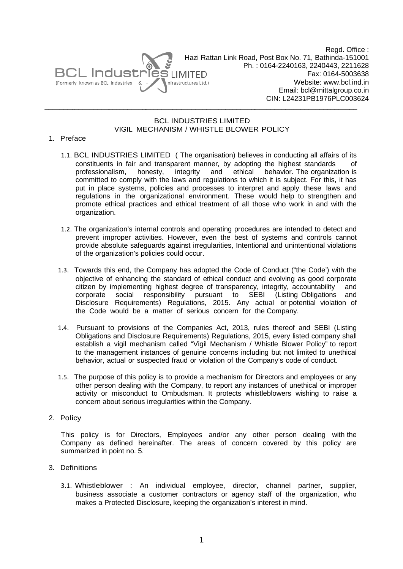

 $\overline{\phantom{a}}$   $\overline{\phantom{a}}$   $\overline{\phantom{a}}$   $\overline{\phantom{a}}$   $\overline{\phantom{a}}$   $\overline{\phantom{a}}$   $\overline{\phantom{a}}$   $\overline{\phantom{a}}$   $\overline{\phantom{a}}$   $\overline{\phantom{a}}$   $\overline{\phantom{a}}$   $\overline{\phantom{a}}$   $\overline{\phantom{a}}$   $\overline{\phantom{a}}$   $\overline{\phantom{a}}$   $\overline{\phantom{a}}$   $\overline{\phantom{a}}$   $\overline{\phantom{a}}$   $\overline{\$ 

 $\overline{\phantom{a}}$ 

Hazi Rattan Link Road, Post Box No. 71, Bathinda-151001 Ph.: 0164-2240163, 2240443, 2211628 Email: bcl@mittalgroup.co.in CIN: L24 4231PB197 6PLC00362 24Regd. Office : Fax: 0 164-500363 38 Website: www.bcl.ind.in

\_\_\_\_\_\_\_\_\_\_\_

 $\overline{\phantom{a}}$ 

 $\overline{\phantom{a}}$ 

## VIGIL MECHANISM / WHISTLE BLOWER POLICY BCL IND DUSTRIES LIMITED

 $\overline{\phantom{a}}$ 

 $\overline{\phantom{a}}$ 

## 1. Pref face

 $\overline{\phantom{a}}$ 

 $\overline{\phantom{a}}$ 

- 1.1. BCL INDUSTRIES LIMITED ( The organisation) believes in conducting all affairs of its constituents in fair and transparent manner, by adopting the highest standards of professiona alism, ho committed to comply with the laws and regulations to which it is subject. For this, it has put in place systems, policies and processes to interpret and apply these laws and regulations in the organizational environment. These would help to strengthen and promote ethical practices and ethical treatment of all those who work in and with the organization. honesty, integrity and d ethical behavior. The organization is
- 1.2. The organization's internal controls and operating procedures are intended to detect and prevent improper activities. However, even the best of systems and controls cannot provide absolute safeguards against irregularities, Intentional and unintentional violations of the organization's policies could occur.
- 1.3. Towards this end, the Company has adopted the Code of Conduct ("the Code') with the objective of enhancing the standard of ethical conduct and evolving as good corporate citizen by implementing highest degree of transparency, integrity, accountabil corporate Disclosure the Code would be a matter of serious concern for the Company. social r Requirem responsibility ents) Regu y pursuan ulations, 20 nt to SE 015. Any EBI (Listin actual or p ng Obligatio potential vio and ons and olation of
- 1.4. Pursuant to provisions of the Companies Act, 2013, rules thereof and SEBI (Listing Obligations and Disclosure Requirements) Regulations, 2015, every listed company shall establish a vigil mechanism called "Vigil Mechanism / Whistle Blower Policy" to report to the management instances of genuine concerns including but not limited to unethical behavior, actual or suspected fraud or violation of the Company's code of conduct.
- 1.5. The purpose of this policy is to provide a mechanism for Directors and employees or any other person dealing with the Company, to report any instances of unethical or improper activity or misconduct to Ombudsman. It protects whistleblowers wishing to raise a concern about serious irregularities within the Company.
- 2. Policy

This policy is for Directors, Employees and/or any other person dealing with the Company as defined hereinafter. The areas of concern covered by this policy are summarized in point no. 5.

- 3. Definitions
	- 3.1. Whistleblower : An individual employee, director, channel partner, supplier, business associate a customer contractors or agency staff of the organization, who makes a Protected Disclosure, keeping the organization's interest in mind.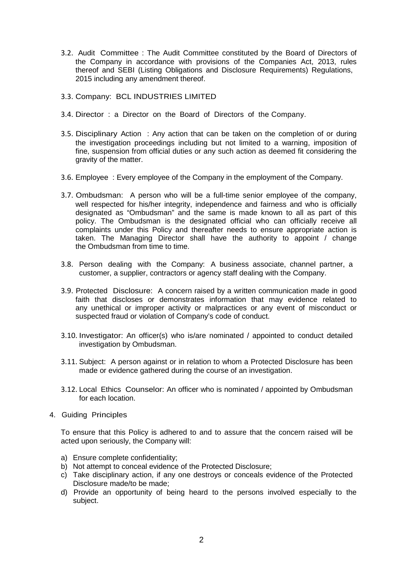- 3.2. Audit Committee : The Audit Committee constituted by the Board of Directors of the Company in accordance with provisions of the Companies Act, 2013, rules thereof and SEBI (Listing Obligations and Disclosure Requirements) Regulations, 2015 including any amendment thereof.
- 3.3. Company: BCL INDUSTRIES LIMITED
- 3.4. Director : a Director on the Board of Directors of the Company.
- 3.5. Disciplinary Action : Any action that can be taken on the completion of or during the investigation proceedings including but not limited to a warning, imposition of fine, suspension from official duties or any such action as deemed fit considering the gravity of the matter.
- 3.6. Employee : Every employee of the Company in the employment of the Company.
- 3.7. Ombudsman: A person who will be a full-time senior employee of the company, well respected for his/her integrity, independence and fairness and who is officially designated as "Ombudsman" and the same is made known to all as part of this policy. The Ombudsman is the designated official who can officially receive all complaints under this Policy and thereafter needs to ensure appropriate action is taken. The Managing Director shall have the authority to appoint / change the Ombudsman from time to time.
- 3.8. Person dealing with the Company: A business associate, channel partner, a customer, a supplier, contractors or agency staff dealing with the Company.
- 3.9. Protected Disclosure: A concern raised by a written communication made in good faith that discloses or demonstrates information that may evidence related to any unethical or improper activity or malpractices or any event of misconduct or suspected fraud or violation of Company's code of conduct.
- 3.10. Investigator: An officer(s) who is/are nominated / appointed to conduct detailed investigation by Ombudsman.
- 3.11. Subject: A person against or in relation to whom a Protected Disclosure has been made or evidence gathered during the course of an investigation.
- 3.12. Local Ethics Counselor: An officer who is nominated / appointed by Ombudsman for each location.
- 4. Guiding Principles

To ensure that this Policy is adhered to and to assure that the concern raised will be acted upon seriously, the Company will:

- a) Ensure complete confidentiality;
- b) Not attempt to conceal evidence of the Protected Disclosure;
- c) Take disciplinary action, if any one destroys or conceals evidence of the Protected Disclosure made/to be made;
- d) Provide an opportunity of being heard to the persons involved especially to the subject.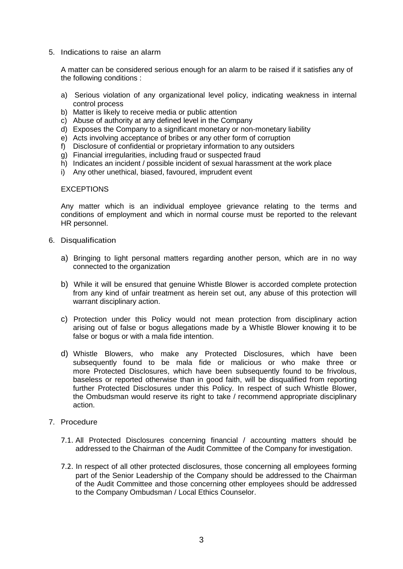5. Indications to raise an alarm

A matter can be considered serious enough for an alarm to be raised if it satisfies any of the following conditions :

- a) Serious violation of any organizational level policy, indicating weakness in internal control process
- b) Matter is likely to receive media or public attention
- c) Abuse of authority at any defined level in the Company
- d) Exposes the Company to a significant monetary or non-monetary liability
- e) Acts involving acceptance of bribes or any other form of corruption
- f) Disclosure of confidential or proprietary information to any outsiders
- g) Financial irregularities, including fraud or suspected fraud
- h) Indicates an incident / possible incident of sexual harassment at the work place
- i) Any other unethical, biased, favoured, imprudent event

#### **EXCEPTIONS**

Any matter which is an individual employee grievance relating to the terms and conditions of employment and which in normal course must be reported to the relevant HR personnel.

- 6. Disqualification
	- a) Bringing to light personal matters regarding another person, which are in no way connected to the organization
	- b) While it will be ensured that genuine Whistle Blower is accorded complete protection from any kind of unfair treatment as herein set out, any abuse of this protection will warrant disciplinary action.
	- c) Protection under this Policy would not mean protection from disciplinary action arising out of false or bogus allegations made by a Whistle Blower knowing it to be false or bogus or with a mala fide intention.
	- d) Whistle Blowers, who make any Protected Disclosures, which have been subsequently found to be mala fide or malicious or who make three or more Protected Disclosures, which have been subsequently found to be frivolous, baseless or reported otherwise than in good faith, will be disqualified from reporting further Protected Disclosures under this Policy. In respect of such Whistle Blower, the Ombudsman would reserve its right to take / recommend appropriate disciplinary action.
- 7. Procedure
	- 7.1. All Protected Disclosures concerning financial / accounting matters should be addressed to the Chairman of the Audit Committee of the Company for investigation.
	- 7.2. In respect of all other protected disclosures, those concerning all employees forming part of the Senior Leadership of the Company should be addressed to the Chairman of the Audit Committee and those concerning other employees should be addressed to the Company Ombudsman / Local Ethics Counselor.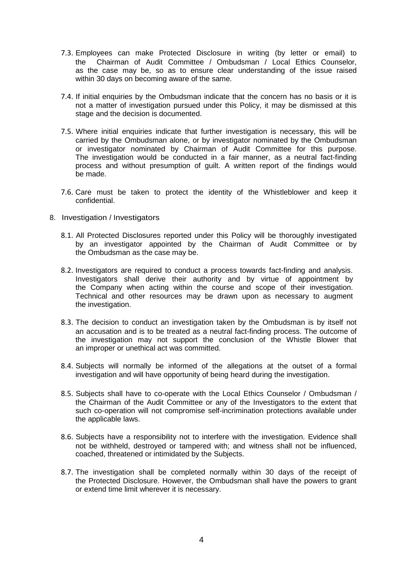- 7.3. Employees can make Protected Disclosure in writing (by letter or email) to the Chairman of Audit Committee / Ombudsman / Local Ethics Counselor, as the case may be, so as to ensure clear understanding of the issue raised within 30 days on becoming aware of the same.
- 7.4. If initial enquiries by the Ombudsman indicate that the concern has no basis or it is not a matter of investigation pursued under this Policy, it may be dismissed at this stage and the decision is documented.
- 7.5. Where initial enquiries indicate that further investigation is necessary, this will be carried by the Ombudsman alone, or by investigator nominated by the Ombudsman or investigator nominated by Chairman of Audit Committee for this purpose. The investigation would be conducted in a fair manner, as a neutral fact-finding process and without presumption of guilt. A written report of the findings would be made.
- 7.6. Care must be taken to protect the identity of the Whistleblower and keep it confidential.
- 8. Investigation / Investigators
	- 8.1. All Protected Disclosures reported under this Policy will be thoroughly investigated by an investigator appointed by the Chairman of Audit Committee or by the Ombudsman as the case may be.
	- 8.2. Investigators are required to conduct a process towards fact-finding and analysis. Investigators shall derive their authority and by virtue of appointment by the Company when acting within the course and scope of their investigation. Technical and other resources may be drawn upon as necessary to augment the investigation.
	- 8.3. The decision to conduct an investigation taken by the Ombudsman is by itself not an accusation and is to be treated as a neutral fact-finding process. The outcome of the investigation may not support the conclusion of the Whistle Blower that an improper or unethical act was committed.
	- 8.4. Subjects will normally be informed of the allegations at the outset of a formal investigation and will have opportunity of being heard during the investigation.
	- 8.5. Subjects shall have to co-operate with the Local Ethics Counselor / Ombudsman / the Chairman of the Audit Committee or any of the Investigators to the extent that such co-operation will not compromise self-incrimination protections available under the applicable laws.
	- 8.6. Subjects have a responsibility not to interfere with the investigation. Evidence shall not be withheld, destroyed or tampered with; and witness shall not be influenced, coached, threatened or intimidated by the Subjects.
	- 8.7. The investigation shall be completed normally within 30 days of the receipt of the Protected Disclosure. However, the Ombudsman shall have the powers to grant or extend time limit wherever it is necessary.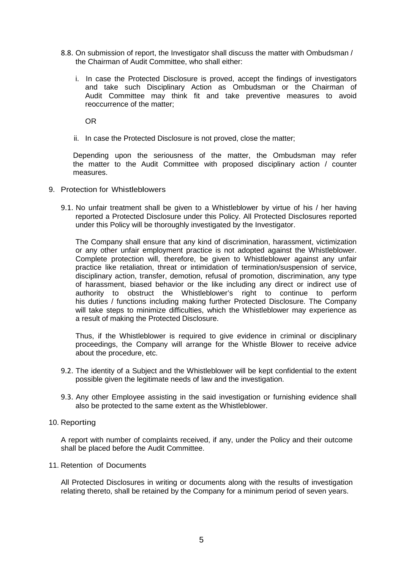- 8.8. On submission of report, the Investigator shall discuss the matter with Ombudsman / the Chairman of Audit Committee, who shall either:
	- i. In case the Protected Disclosure is proved, accept the findings of investigators and take such Disciplinary Action as Ombudsman or the Chairman of Audit Committee may think fit and take preventive measures to avoid reoccurrence of the matter;

OR

ii. In case the Protected Disclosure is not proved, close the matter;

Depending upon the seriousness of the matter, the Ombudsman may refer the matter to the Audit Committee with proposed disciplinary action / counter measures.

- 9. Protection for Whistleblowers
	- 9.1. No unfair treatment shall be given to a Whistleblower by virtue of his / her having reported a Protected Disclosure under this Policy. All Protected Disclosures reported under this Policy will be thoroughly investigated by the Investigator.

The Company shall ensure that any kind of discrimination, harassment, victimization or any other unfair employment practice is not adopted against the Whistleblower. Complete protection will, therefore, be given to Whistleblower against any unfair practice like retaliation, threat or intimidation of termination/suspension of service, disciplinary action, transfer, demotion, refusal of promotion, discrimination, any type of harassment, biased behavior or the like including any direct or indirect use of authority to obstruct the Whistleblower's right to continue to perform his duties / functions including making further Protected Disclosure. The Company will take steps to minimize difficulties, which the Whistleblower may experience as a result of making the Protected Disclosure.

Thus, if the Whistleblower is required to give evidence in criminal or disciplinary proceedings, the Company will arrange for the Whistle Blower to receive advice about the procedure, etc.

- 9.2. The identity of a Subject and the Whistleblower will be kept confidential to the extent possible given the legitimate needs of law and the investigation.
- 9.3. Any other Employee assisting in the said investigation or furnishing evidence shall also be protected to the same extent as the Whistleblower.

#### 10. Reporting

A report with number of complaints received, if any, under the Policy and their outcome shall be placed before the Audit Committee.

#### 11. Retention of Documents

All Protected Disclosures in writing or documents along with the results of investigation relating thereto, shall be retained by the Company for a minimum period of seven years.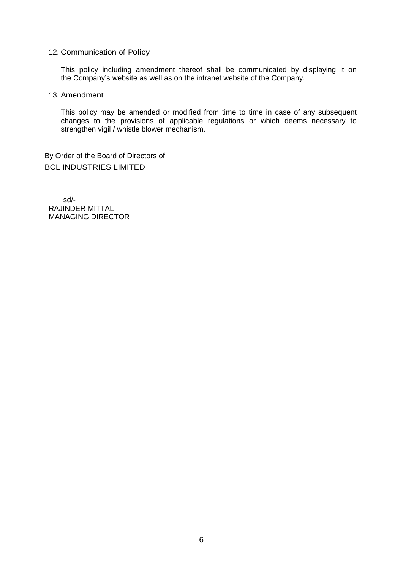## 12. Communication of Policy

This policy including amendment thereof shall be communicated by displaying it on the Company's website as well as on the intranet website of the Company.

#### 13. Amendment

This policy may be amended or modified from time to time in case of any subsequent changes to the provisions of applicable regulations or which deems necessary to strengthen vigil / whistle blower mechanism.

By Order of the Board of Directors of BCL INDUSTRIES LIMITED

sd/- RAJINDER MITTAL MANAGING DIRECTOR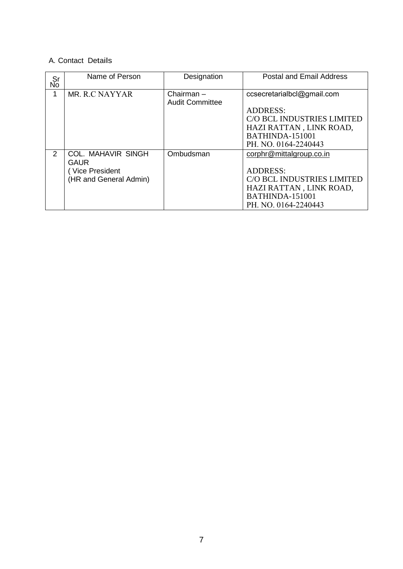# A. Contact Details

| Sr<br>No      | Name of Person                                                                | Designation                            | <b>Postal and Email Address</b>                                                                                                                   |
|---------------|-------------------------------------------------------------------------------|----------------------------------------|---------------------------------------------------------------------------------------------------------------------------------------------------|
| 1             | MR. R.C NAYYAR                                                                | Chairman $-$<br><b>Audit Committee</b> | ccsecretarialbcl@gmail.com<br><b>ADDRESS:</b><br>C/O BCL INDUSTRIES LIMITED<br>HAZI RATTAN, LINK ROAD,<br>BATHINDA-151001<br>PH. NO. 0164-2240443 |
| $\mathcal{P}$ | <b>COL. MAHAVIR SINGH</b><br>GAUR<br>Vice President<br>(HR and General Admin) | Ombudsman                              | corphr@mittalgroup.co.in<br><b>ADDRESS:</b><br>C/O BCL INDUSTRIES LIMITED<br>HAZI RATTAN, LINK ROAD,<br>BATHINDA-151001<br>PH. NO. 0164-2240443   |